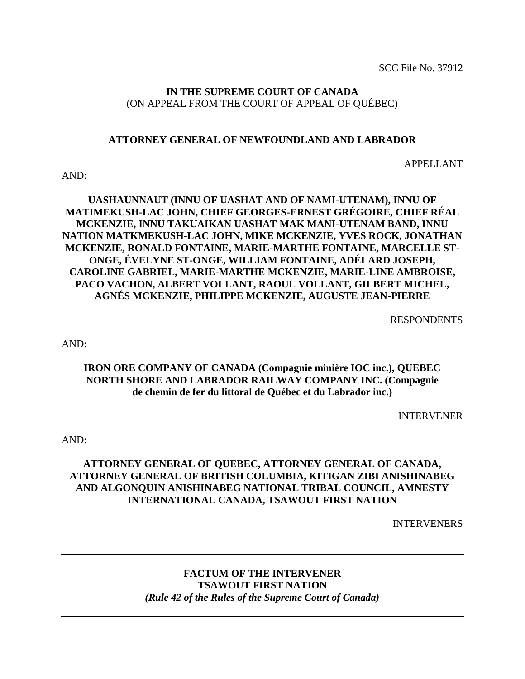SCC File No. 37912

#### **IN THE SUPREME COURT OF CANADA** (ON APPEAL FROM THE COURT OF APPEAL OF QUÉBEC)

#### **ATTORNEY GENERAL OF NEWFOUNDLAND AND LABRADOR**

APPELLANT

#### AND:

#### **UASHAUNNAUT (INNU OF UASHAT AND OF NAMI-UTENAM), INNU OF MATIMEKUSH-LAC JOHN, CHIEF GEORGES-ERNEST GRÉGOIRE, CHIEF RÉAL MCKENZIE, INNU TAKUAIKAN UASHAT MAK MANI-UTENAM BAND, INNU NATION MATKMEKUSH-LAC JOHN, MIKE MCKENZIE, YVES ROCK, JONATHAN MCKENZIE, RONALD FONTAINE, MARIE-MARTHE FONTAINE, MARCELLE ST-ONGE, ÉVELYNE ST-ONGE, WILLIAM FONTAINE, ADÉLARD JOSEPH, CAROLINE GABRIEL, MARIE-MARTHE MCKENZIE, MARIE-LINE AMBROISE, PACO VACHON, ALBERT VOLLANT, RAOUL VOLLANT, GILBERT MICHEL, AGNÉS MCKENZIE, PHILIPPE MCKENZIE, AUGUSTE JEAN-PIERRE**

RESPONDENTS

AND:

#### **IRON ORE COMPANY OF CANADA (Compagnie minière IOC inc.), QUEBEC NORTH SHORE AND LABRADOR RAILWAY COMPANY INC. (Compagnie de chemin de fer du littoral de Québec et du Labrador inc.)**

INTERVENER

AND:

#### **ATTORNEY GENERAL OF QUEBEC, ATTORNEY GENERAL OF CANADA, ATTORNEY GENERAL OF BRITISH COLUMBIA, KITIGAN ZIBI ANISHINABEG AND ALGONQUIN ANISHINABEG NATIONAL TRIBAL COUNCIL, AMNESTY INTERNATIONAL CANADA, TSAWOUT FIRST NATION**

INTERVENERS

#### **FACTUM OF THE INTERVENER TSAWOUT FIRST NATION** *(Rule 42 of the Rules of the Supreme Court of Canada)*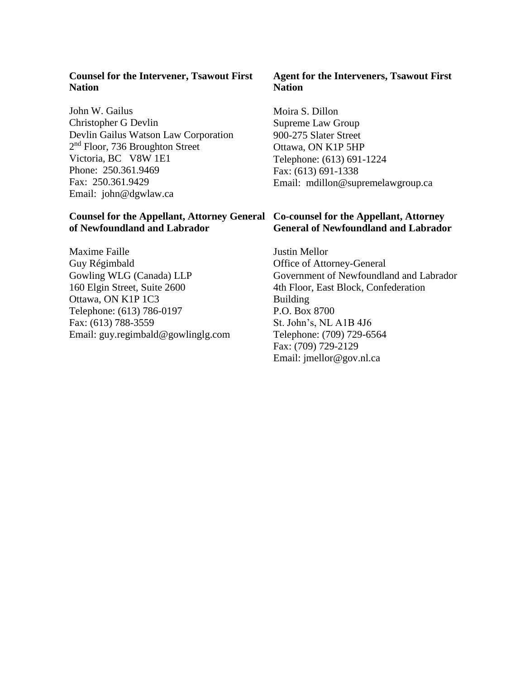#### **Counsel for the Intervener, Tsawout First Nation**

John W. Gailus Christopher G Devlin Devlin Gailus Watson Law Corporation 2<sup>nd</sup> Floor, 736 Broughton Street Victoria, BC V8W 1E1 Phone: 250.361.9469 Fax: 250.361.9429 Email: john@dgwlaw.ca

#### **Counsel for the Appellant, Attorney General Co-counsel for the Appellant, Attorney of Newfoundland and Labrador**

Maxime Faille Guy Régimbald Gowling WLG (Canada) LLP 160 Elgin Street, Suite 2600 Ottawa, ON K1P 1C3 Telephone: (613) 786-0197 Fax: (613) 788-3559 Email: guy.regimbald@gowlinglg.com

#### **Agent for the Interveners, Tsawout First Nation**

Moira S. Dillon Supreme Law Group 900-275 Slater Street Ottawa, ON K1P 5HP Telephone: (613) 691-1224 Fax: (613) 691-1338 Email: mdillon@supremelawgroup.ca

# **General of Newfoundland and Labrador**

Justin Mellor Office of Attorney-General Government of Newfoundland and Labrador 4th Floor, East Block, Confederation Building P.O. Box 8700 St. John's, NL A1B 4J6 Telephone: (709) 729-6564 Fax: (709) 729-2129 Email: jmellor@gov.nl.ca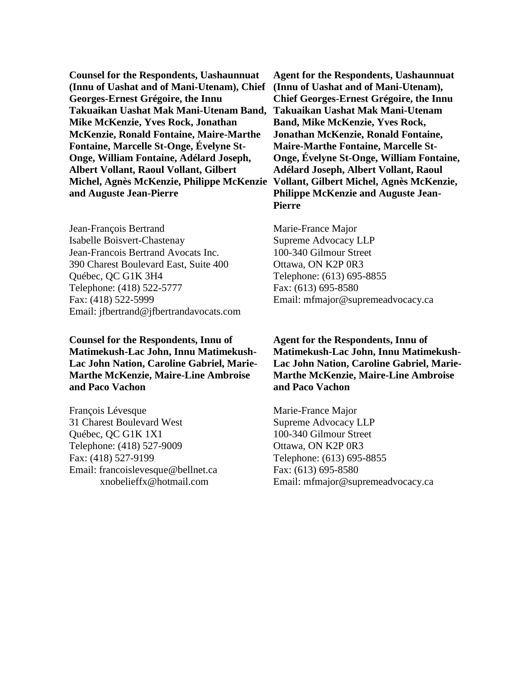**Counsel for the Respondents, Uashaunnuat (Innu of Uashat and of Mani-Utenam), Chief (Innu of Uashat and of Mani-Utenam), Georges-Ernest Grégoire, the Innu Takuaikan Uashat Mak Mani-Utenam Band, Mike McKenzie, Yves Rock, Jonathan McKenzie, Ronald Fontaine, Maire-Marthe Fontaine, Marcelle St-Onge, Évelyne St-Onge, William Fontaine, Adélard Joseph, Albert Vollant, Raoul Vollant, Gilbert Michel, Agnès McKenzie, Philippe McKenzie and Auguste Jean-Pierre**

Jean-François Bertrand Isabelle Boisvert-Chastenay Jean-Francois Bertrand Avocats Inc. 390 Charest Boulevard East, Suite 400 Québec, QC G1K 3H4 Telephone: (418) 522-5777 Fax: (418) 522-5999 Email: jfbertrand@jfbertrandavocats.com

**Counsel for the Respondents, Innu of Matimekush-Lac John, Innu Matimekush-Lac John Nation, Caroline Gabriel, Marie-Marthe McKenzie, Maire-Line Ambroise and Paco Vachon**

François Lévesque 31 Charest Boulevard West Québec, QC G1K 1X1 Telephone: (418) 527-9009 Fax: (418) 527-9199 Email: francoislevesque@bellnet.ca xnobelieffx@hotmail.com

**Agent for the Respondents, Uashaunnuat Chief Georges-Ernest Grégoire, the Innu Takuaikan Uashat Mak Mani-Utenam Band, Mike McKenzie, Yves Rock, Jonathan McKenzie, Ronald Fontaine, Maire-Marthe Fontaine, Marcelle St-Onge, Évelyne St-Onge, William Fontaine, Adélard Joseph, Albert Vollant, Raoul Vollant, Gilbert Michel, Agnès McKenzie, Philippe McKenzie and Auguste Jean-Pierre**

Marie-France Major Supreme Advocacy LLP 100-340 Gilmour Street Ottawa, ON K2P 0R3 Telephone: (613) 695-8855 Fax: (613) 695-8580 Email: mfmajor@supremeadvocacy.ca

**Agent for the Respondents, Innu of Matimekush-Lac John, Innu Matimekush-Lac John Nation, Caroline Gabriel, Marie-Marthe McKenzie, Maire-Line Ambroise and Paco Vachon**

Marie-France Major Supreme Advocacy LLP 100-340 Gilmour Street Ottawa, ON K2P 0R3 Telephone: (613) 695-8855 Fax: (613) 695-8580 Email: mfmajor@supremeadvocacy.ca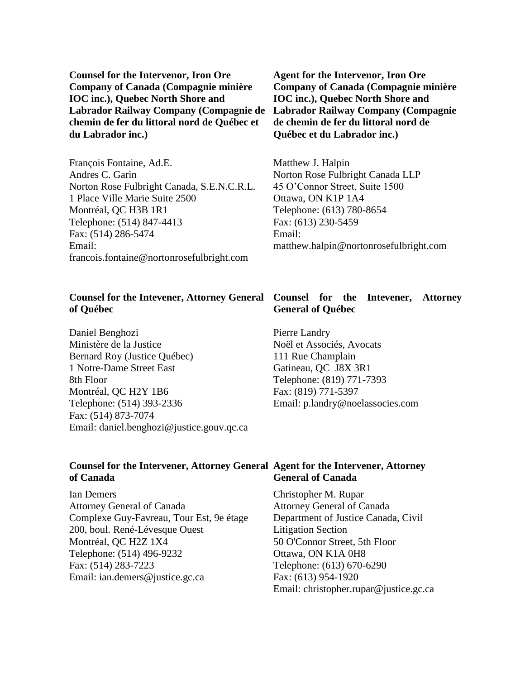**Counsel for the Intervenor, Iron Ore Company of Canada (Compagnie minière IOC inc.), Quebec North Shore and Labrador Railway Company (Compagnie de chemin de fer du littoral nord de Québec et du Labrador inc.)**

François Fontaine, Ad.E. Andres C. Garin Norton Rose Fulbright Canada, S.E.N.C.R.L. 1 Place Ville Marie Suite 2500 Montréal, QC H3B 1R1 Telephone: (514) 847-4413 Fax: (514) 286-5474 Email: francois.fontain[e@n](mailto:jfbertrand@)ortonrosefulbright.com

#### **Counsel for the Intevener, Attorney General of Québec**

Daniel Benghozi Ministère de la Justice Bernard Roy (Justice Québec) 1 Notre-Dame Street East 8th Floor Montréal, QC H2Y 1B6 Telephone: (514) 393-2336 Fax: (514) 873-7074 Email: daniel.benghozi@justice.gouv.qc.ca

**Agent for the Intervenor, Iron Ore Company of Canada (Compagnie minière IOC inc.), Quebec North Shore and Labrador Railway Company (Compagnie de chemin de fer du littoral nord de Québec et du Labrador inc.)**

Matthew J. Halpin Norton Rose Fulbright Canada LLP 45 O'Connor Street, Suite 1500 Ottawa, ON K1P 1A4 Telephone: (613) 780-8654 Fax: (613) 230-5459 Email: matthew.halpi[n@n](mailto:mfmajor@)ortonrosefulbright.com

#### **Counsel for the Intevener, Attorney General of Québec**

Pierre Landry Noël et Associés, Avocats 111 Rue Champlain Gatineau, QC J8X 3R1 Telephone: (819) 771-7393 Fax: (819) 771-5397 Email: p.landry@noelassocies.com

#### Counsel for the Intervener, Attorney General Agent for the Intervener, Attorney **of Canada General of Canada**

Ian Demers Attorney General of Canada Complexe Guy-Favreau, Tour Est, 9e étage 200, boul. René-Lévesque Ouest Montréal, QC H2Z 1X4 Telephone: (514) 496-9232 Fax: (514) 283-7223 Email: ian.demers@justice.gc.ca

Christopher M. Rupar Attorney General of Canada Department of Justice Canada, Civil Litigation Section 50 O'Connor Street, 5th Floor Ottawa, ON K1A 0H8 Telephone: (613) 670-6290 Fax: (613) 954-1920 Email: christopher.rupar@justice.gc.ca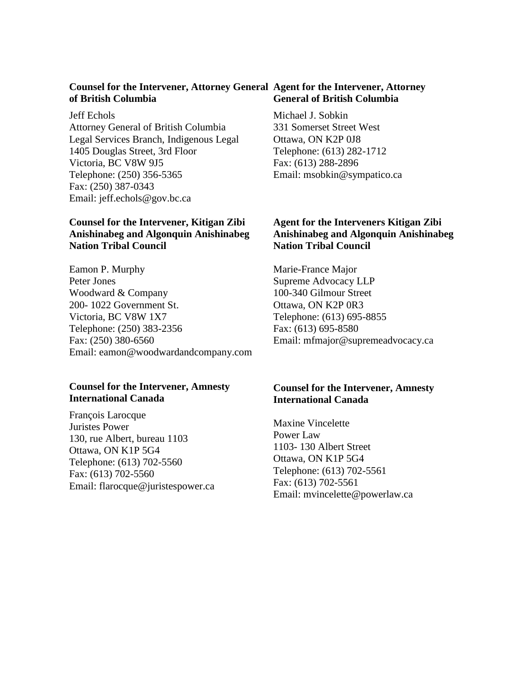#### Counsel for the Intervener, Attorney General Agent for the Intervener, Attorney **of British Columbia General of British Columbia**

Jeff Echols Attorney General of British Columbia Legal Services Branch, Indigenous Legal 1405 Douglas Street, 3rd Floor Victoria, BC V8W 9J5 Telephone: (250) 356-5365 Fax: (250) 387-0343 Email: jeff.echols@gov.bc.ca

#### **Counsel for the Intervener, Kitigan Zibi Anishinabeg and Algonquin Anishinabeg Nation Tribal Council**

Eamon P. Murphy Peter Jones Woodward & Company 200- 1022 Government St. Victoria, BC V8W 1X7 Telephone: (250) 383-2356 Fax: (250) 380-6560 Email: eamon@woodwardandcompany.com

#### **Counsel for the Intervener, Amnesty International Canada**

François Larocque Juristes Power 130, rue Albert, bureau 1103 Ottawa, ON K1P 5G4 Telephone: (613) 702-5560 Fax: (613) 702-5560 Email: flarocque@juristespower.ca Michael J. Sobkin 331 Somerset Street West Ottawa, ON K2P 0J8 Telephone: (613) 282-1712 Fax: (613) 288-2896 Email: msobkin@sympatico.ca

#### **Agent for the Interveners Kitigan Zibi Anishinabeg and Algonquin Anishinabeg Nation Tribal Council**

Marie-France Major Supreme Advocacy LLP 100-340 Gilmour Street Ottawa, ON K2P 0R3 Telephone: (613) 695-8855 Fax: (613) 695-8580 Email: mfmajor@supremeadvocacy.ca

#### **Counsel for the Intervener, Amnesty International Canada**

Maxine Vincelette Power Law 1103- 130 Albert Street Ottawa, ON K1P 5G4 Telephone: (613) 702-5561 Fax: (613) 702-5561 Email: mvincelette@powerlaw.ca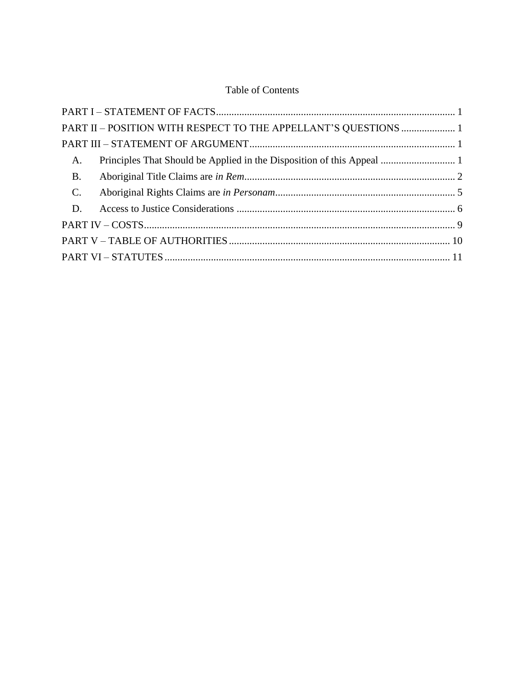## **Table of Contents**

|             | PART II - POSITION WITH RESPECT TO THE APPELLANT'S QUESTIONS  1 |  |
|-------------|-----------------------------------------------------------------|--|
|             |                                                                 |  |
| A.          |                                                                 |  |
| <b>B.</b>   |                                                                 |  |
| $C_{\cdot}$ |                                                                 |  |
| D.          |                                                                 |  |
|             |                                                                 |  |
|             |                                                                 |  |
|             |                                                                 |  |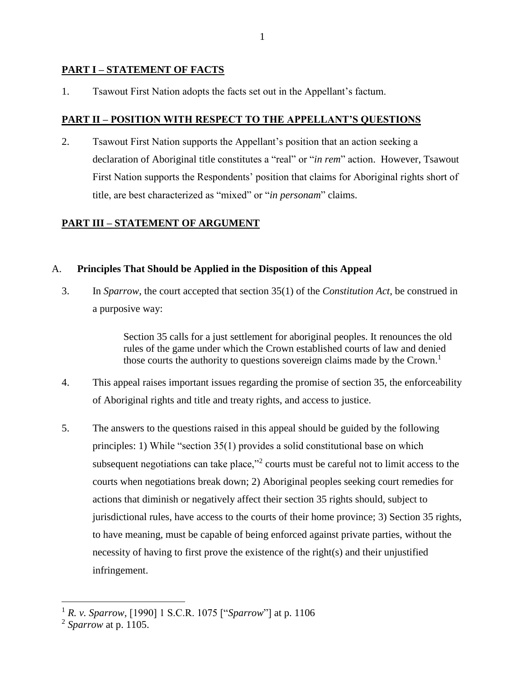#### <span id="page-6-0"></span>**PART I – STATEMENT OF FACTS**

1. Tsawout First Nation adopts the facts set out in the Appellant's factum.

#### <span id="page-6-1"></span>**PART II – POSITION WITH RESPECT TO THE APPELLANT'S QUESTIONS**

2. Tsawout First Nation supports the Appellant's position that an action seeking a declaration of Aboriginal title constitutes a "real" or "*in rem*" action. However, Tsawout First Nation supports the Respondents' position that claims for Aboriginal rights short of title, are best characterized as "mixed" or "*in personam*" claims.

### <span id="page-6-2"></span>**PART III – STATEMENT OF ARGUMENT**

#### <span id="page-6-3"></span>A. **Principles That Should be Applied in the Disposition of this Appeal**

3. In *Sparrow*, the court accepted that section 35(1) of the *Constitution Act*, be construed in a purposive way:

> Section 35 calls for a just settlement for aboriginal peoples. It renounces the old rules of the game under which the Crown established courts of law and denied those courts the authority to questions sovereign claims made by the Crown.<sup>1</sup>

- 4. This appeal raises important issues regarding the promise of section 35, the enforceability of Aboriginal rights and title and treaty rights, and access to justice.
- 5. The answers to the questions raised in this appeal should be guided by the following principles: 1) While "section 35(1) provides a solid constitutional base on which subsequent negotiations can take place,"<sup>2</sup> courts must be careful not to limit access to the courts when negotiations break down; 2) Aboriginal peoples seeking court remedies for actions that diminish or negatively affect their section 35 rights should, subject to jurisdictional rules, have access to the courts of their home province; 3) Section 35 rights, to have meaning, must be capable of being enforced against private parties, without the necessity of having to first prove the existence of the right(s) and their unjustified infringement.

<sup>1</sup> *R. v. Sparrow,* [1990] 1 S.C.R. 1075 ["*Sparrow*"] at p. 1106

<sup>2</sup> *Sparrow* at p. 1105.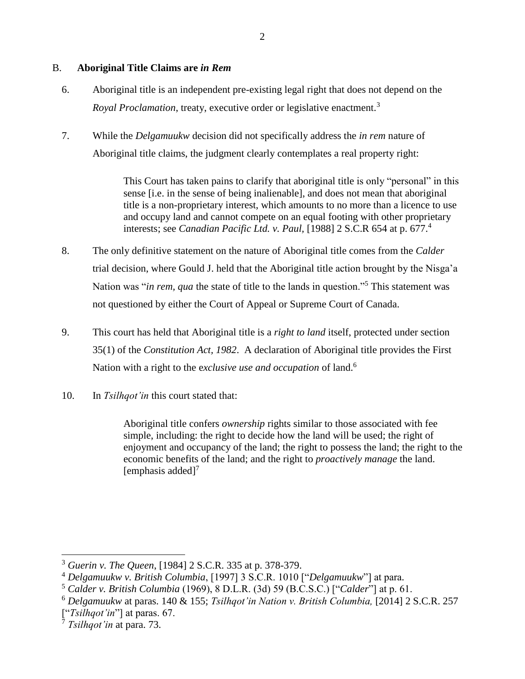#### <span id="page-7-0"></span>B. **Aboriginal Title Claims are** *in Rem*

- 6. Aboriginal title is an independent pre-existing legal right that does not depend on the *Royal Proclamation*, treaty, executive order or legislative enactment.<sup>3</sup>
- 7. While the *Delgamuukw* decision did not specifically address the *in rem* nature of Aboriginal title claims, the judgment clearly contemplates a real property right:

This Court has taken pains to clarify that aboriginal title is only "personal" in this sense [i.e. in the sense of being inalienable], and does not mean that aboriginal title is a non-proprietary interest, which amounts to no more than a licence to use and occupy land and cannot compete on an equal footing with other proprietary interests; see *Canadian Pacific Ltd. v. Paul,* [1988] 2 S.C.R 654 at p. 677. 4

- 8. The only definitive statement on the nature of Aboriginal title comes from the *Calder* trial decision, where Gould J. held that the Aboriginal title action brought by the Nisga'a Nation was "*in rem, qua* the state of title to the lands in question."<sup>5</sup> This statement was not questioned by either the Court of Appeal or Supreme Court of Canada.
- 9. This court has held that Aboriginal title is a *right to land* itself, protected under section 35(1) of the *Constitution Act, 1982*. A declaration of Aboriginal title provides the First Nation with a right to the e*xclusive use and occupation* of land.<sup>6</sup>
- 10. In *Tsilhqot'in* this court stated that:

Aboriginal title confers *ownership* rights similar to those associated with fee simple, including: the right to decide how the land will be used; the right of enjoyment and occupancy of the land; the right to possess the land; the right to the economic benefits of the land; and the right to *proactively manage* the land. [emphasis added] $<sup>7</sup>$ </sup>

<sup>3</sup> *Guerin v. The Queen*, [1984] 2 S.C.R. 335 at p. 378-379.

<sup>4</sup> *Delgamuukw v. British Columbia*, [1997] 3 S.C.R. 1010 ["*Delgamuukw*"] at para.

<sup>5</sup> *Calder v. British Columbia* (1969), 8 D.L.R. (3d) 59 (B.C.S.C.) ["*Calder*"] at p. 61.

<sup>6</sup> *Delgamuukw* at paras. 140 & 155; *Tsilhqot'in Nation v. British Columbia,* [2014] 2 S.C.R. 257 ["*Tsilhqot'in*"] at paras. 67.

<sup>7</sup> *Tsilhqot'in* at para. 73.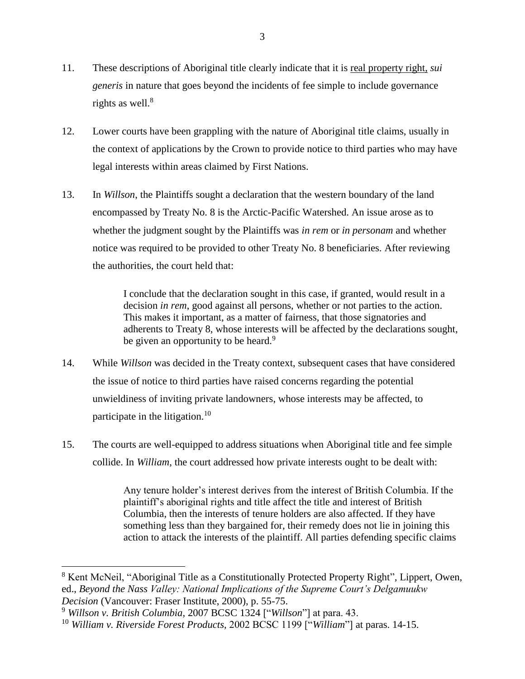- 11. These descriptions of Aboriginal title clearly indicate that it is real property right, *sui generis* in nature that goes beyond the incidents of fee simple to include governance rights as well. $^8$
- 12. Lower courts have been grappling with the nature of Aboriginal title claims, usually in the context of applications by the Crown to provide notice to third parties who may have legal interests within areas claimed by First Nations.
- 13. In *Willson*, the Plaintiffs sought a declaration that the western boundary of the land encompassed by Treaty No. 8 is the Arctic-Pacific Watershed. An issue arose as to whether the judgment sought by the Plaintiffs was *in rem* or *in personam* and whether notice was required to be provided to other Treaty No. 8 beneficiaries. After reviewing the authorities, the court held that:

I conclude that the declaration sought in this case, if granted, would result in a decision *in rem*, good against all persons, whether or not parties to the action. This makes it important, as a matter of fairness, that those signatories and adherents to Treaty 8, whose interests will be affected by the declarations sought, be given an opportunity to be heard.<sup>9</sup>

- 14. While *Willson* was decided in the Treaty context, subsequent cases that have considered the issue of notice to third parties have raised concerns regarding the potential unwieldiness of inviting private landowners, whose interests may be affected, to participate in the litigation.<sup>10</sup>
- 15. The courts are well-equipped to address situations when Aboriginal title and fee simple collide. In *William*, the court addressed how private interests ought to be dealt with:

Any tenure holder's interest derives from the interest of British Columbia. If the plaintiff's aboriginal rights and title affect the title and interest of British Columbia, then the interests of tenure holders are also affected. If they have something less than they bargained for, their remedy does not lie in joining this action to attack the interests of the plaintiff. All parties defending specific claims

<sup>8</sup> Kent McNeil, "Aboriginal Title as a Constitutionally Protected Property Right"*,* Lippert, Owen, ed., *Beyond the Nass Valley: National Implications of the Supreme Court's Delgamuukw Decision* (Vancouver: Fraser Institute, 2000), p. 55-75.

<sup>9</sup> *Willson v. British Columbia,* 2007 BCSC 1324 ["*Willson*"] at para. 43.

<sup>10</sup> *William v. Riverside Forest Products,* 2002 BCSC 1199 ["*William*"] at paras. 14-15.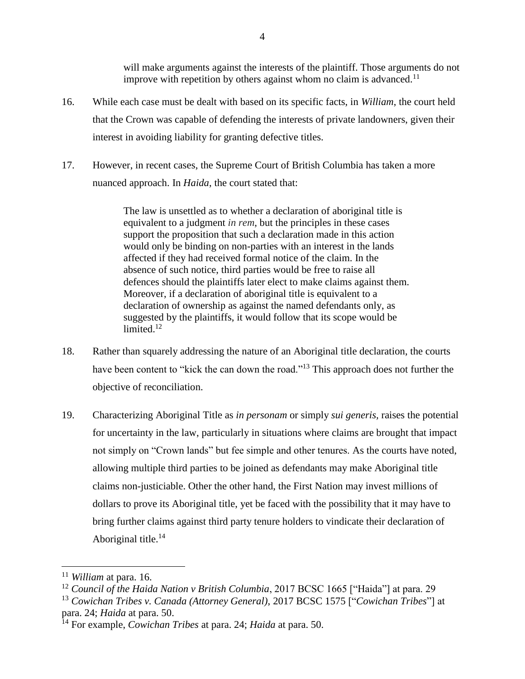will make arguments against the interests of the plaintiff. Those arguments do not improve with repetition by others against whom no claim is advanced.<sup>11</sup>

- 16. While each case must be dealt with based on its specific facts, in *William*, the court held that the Crown was capable of defending the interests of private landowners, given their interest in avoiding liability for granting defective titles.
- 17. However, in recent cases, the Supreme Court of British Columbia has taken a more nuanced approach. In *Haida*, the court stated that:

The law is unsettled as to whether a declaration of aboriginal title is equivalent to a judgment *in rem*, but the principles in these cases support the proposition that such a declaration made in this action would only be binding on non-parties with an interest in the lands affected if they had received formal notice of the claim. In the absence of such notice, third parties would be free to raise all defences should the plaintiffs later elect to make claims against them. Moreover, if a declaration of aboriginal title is equivalent to a declaration of ownership as against the named defendants only, as suggested by the plaintiffs, it would follow that its scope would be limited.<sup>12</sup>

- 18. Rather than squarely addressing the nature of an Aboriginal title declaration, the courts have been content to "kick the can down the road."<sup>13</sup> This approach does not further the objective of reconciliation.
- 19. Characterizing Aboriginal Title as *in personam* or simply *sui generis,* raises the potential for uncertainty in the law, particularly in situations where claims are brought that impact not simply on "Crown lands" but fee simple and other tenures. As the courts have noted, allowing multiple third parties to be joined as defendants may make Aboriginal title claims non-justiciable. Other the other hand, the First Nation may invest millions of dollars to prove its Aboriginal title, yet be faced with the possibility that it may have to bring further claims against third party tenure holders to vindicate their declaration of Aboriginal title.<sup>14</sup>

<sup>11</sup> *William* at para. 16.

<sup>&</sup>lt;sup>12</sup> Council of the Haida Nation v British Columbia, 2017 BCSC 1665 ["Haida"] at para. 29

<sup>13</sup> *Cowichan Tribes v. Canada (Attorney General)*, 2017 BCSC 1575 ["*Cowichan Tribes*"] at para. 24; *Haida* at para. 50.

<sup>14</sup> For example, *Cowichan Tribes* at para. 24; *Haida* at para. 50.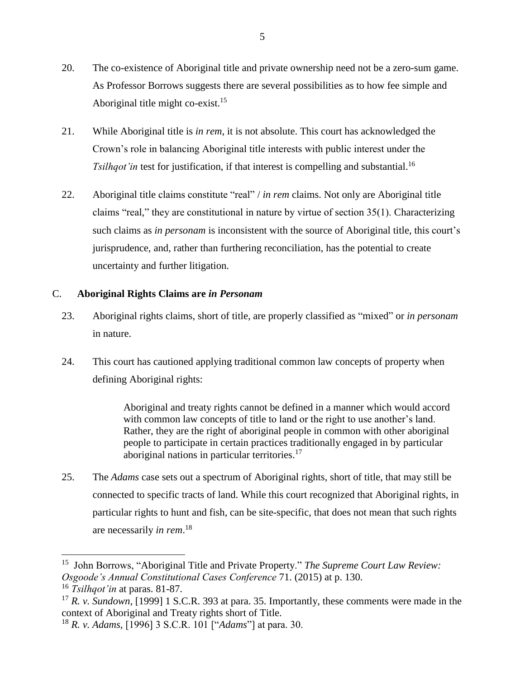- 20. The co-existence of Aboriginal title and private ownership need not be a zero-sum game. As Professor Borrows suggests there are several possibilities as to how fee simple and Aboriginal title might co-exist.<sup>15</sup>
- 21. While Aboriginal title is *in rem*, it is not absolute. This court has acknowledged the Crown's role in balancing Aboriginal title interests with public interest under the *Tsilhqot'in* test for justification, if that interest is compelling and substantial.<sup>16</sup>
- 22. Aboriginal title claims constitute "real" / *in rem* claims. Not only are Aboriginal title claims "real," they are constitutional in nature by virtue of section 35(1). Characterizing such claims as *in personam* is inconsistent with the source of Aboriginal title, this court's jurisprudence, and, rather than furthering reconciliation, has the potential to create uncertainty and further litigation.

### <span id="page-10-0"></span>C. **Aboriginal Rights Claims are** *in Personam*

- 23. Aboriginal rights claims, short of title, are properly classified as "mixed" or *in personam* in nature.
- 24. This court has cautioned applying traditional common law concepts of property when defining Aboriginal rights:

Aboriginal and treaty rights cannot be defined in a manner which would accord with common law concepts of title to land or the right to use another's land. Rather, they are the right of aboriginal people in common with other aboriginal people to participate in certain practices traditionally engaged in by particular aboriginal nations in particular territories.<sup>17</sup>

25. The *Adams* case sets out a spectrum of Aboriginal rights, short of title, that may still be connected to specific tracts of land. While this court recognized that Aboriginal rights, in particular rights to hunt and fish, can be site-specific, that does not mean that such rights are necessarily *in rem*. 18

<sup>15</sup> John Borrows, "Aboriginal Title and Private Property." *The Supreme Court Law Review: Osgoode's Annual Constitutional Cases Conference* 71. (2015) at p. 130.

<sup>16</sup> *Tsilhqot'in* at paras. 81-87.

<sup>17</sup> *R. v. Sundown*, [1999] 1 S.C.R. 393 at para. 35. Importantly, these comments were made in the context of Aboriginal and Treaty rights short of Title.

<sup>18</sup> *R. v. Adams,* [1996] 3 S.C.R. 101 ["*Adams*"] at para. 30.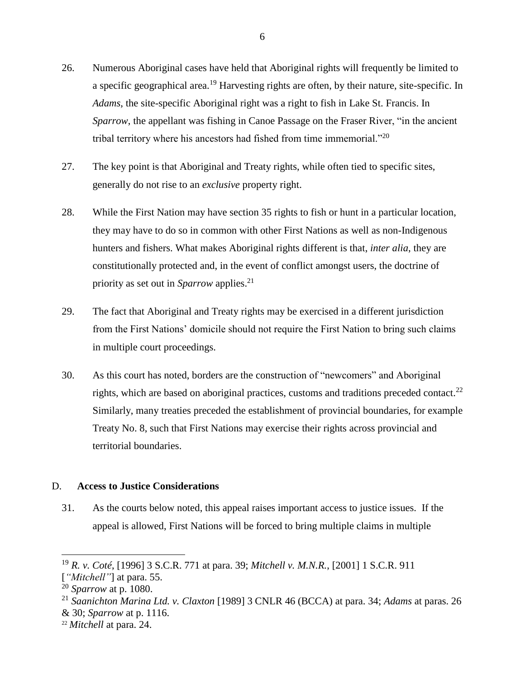- 26. Numerous Aboriginal cases have held that Aboriginal rights will frequently be limited to a specific geographical area.<sup>19</sup> Harvesting rights are often, by their nature, site-specific. In *Adams*, the site-specific Aboriginal right was a right to fish in Lake St. Francis. In *Sparrow*, the appellant was fishing in Canoe Passage on the Fraser River, "in the ancient tribal territory where his ancestors had fished from time immemorial."<sup>20</sup>
- 27. The key point is that Aboriginal and Treaty rights, while often tied to specific sites, generally do not rise to an *exclusive* property right.
- 28. While the First Nation may have section 35 rights to fish or hunt in a particular location, they may have to do so in common with other First Nations as well as non-Indigenous hunters and fishers. What makes Aboriginal rights different is that, *inter alia*, they are constitutionally protected and, in the event of conflict amongst users, the doctrine of priority as set out in *Sparrow* applies. 21
- 29. The fact that Aboriginal and Treaty rights may be exercised in a different jurisdiction from the First Nations' domicile should not require the First Nation to bring such claims in multiple court proceedings.
- 30. As this court has noted, borders are the construction of "newcomers" and Aboriginal rights, which are based on aboriginal practices, customs and traditions preceded contact.<sup>22</sup> Similarly, many treaties preceded the establishment of provincial boundaries, for example Treaty No. 8, such that First Nations may exercise their rights across provincial and territorial boundaries.

#### <span id="page-11-0"></span>D. **Access to Justice Considerations**

31. As the courts below noted, this appeal raises important access to justice issues. If the appeal is allowed, First Nations will be forced to bring multiple claims in multiple

<sup>19</sup> *R. v. Coté*, [1996] 3 S.C.R. 771 at para. 39; *Mitchell v. M.N.R.*, [2001] 1 S.C.R. 911

<sup>[</sup>*"Mitchell"*] at para. 55.

<sup>20</sup> *Sparrow* at p. 1080.

<sup>21</sup> *Saanichton Marina Ltd. v. Claxton* [1989] 3 CNLR 46 (BCCA) at para. 34; *Adams* at paras. 26 & 30; *Sparrow* at p. 1116.

<sup>22</sup> *Mitchell* at para. 24.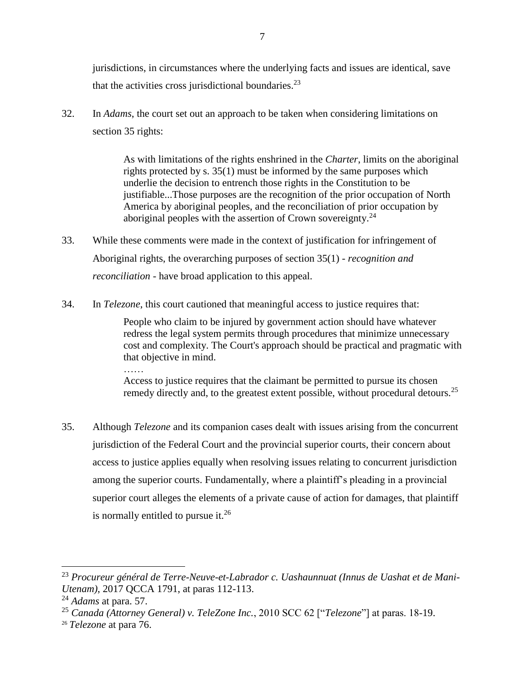jurisdictions, in circumstances where the underlying facts and issues are identical, save that the activities cross jurisdictional boundaries.<sup>23</sup>

32. In *Adams*, the court set out an approach to be taken when considering limitations on section 35 rights:

> As with limitations of the rights enshrined in the *Charter*, limits on the aboriginal rights protected by s. 35(1) must be informed by the same purposes which underlie the decision to entrench those rights in the Constitution to be justifiable...Those purposes are the recognition of the prior occupation of North America by aboriginal peoples, and the reconciliation of prior occupation by aboriginal peoples with the assertion of Crown sovereignty.<sup>24</sup>

- 33. While these comments were made in the context of justification for infringement of Aboriginal rights, the overarching purposes of section 35(1) - *recognition and reconciliation* - have broad application to this appeal.
- 34. In *Telezone*, this court cautioned that meaningful access to justice requires that:

People who claim to be injured by government action should have whatever redress the legal system permits through procedures that minimize unnecessary cost and complexity. The Court's approach should be practical and pragmatic with that objective in mind.

Access to justice requires that the claimant be permitted to pursue its chosen remedy directly and, to the greatest extent possible, without procedural detours.<sup>25</sup>

35. Although *Telezone* and its companion cases dealt with issues arising from the concurrent jurisdiction of the Federal Court and the provincial superior courts, their concern about access to justice applies equally when resolving issues relating to concurrent jurisdiction among the superior courts. Fundamentally, where a plaintiff's pleading in a provincial superior court alleges the elements of a private cause of action for damages, that plaintiff is normally entitled to pursue it.<sup>26</sup>

 $\overline{a}$ 

…<br>………

<sup>23</sup> *Procureur général de Terre-Neuve-et-Labrador c. Uashaunnuat (Innus de Uashat et de Mani-Utenam)*, 2017 QCCA 1791, at paras 112-113.

<sup>24</sup> *Adams* at para. 57.

<sup>25</sup> *Canada (Attorney General) v. TeleZone Inc.*, 2010 SCC 62 ["*Telezone*"] at paras. 18-19.

<sup>26</sup> *Telezone* at para 76.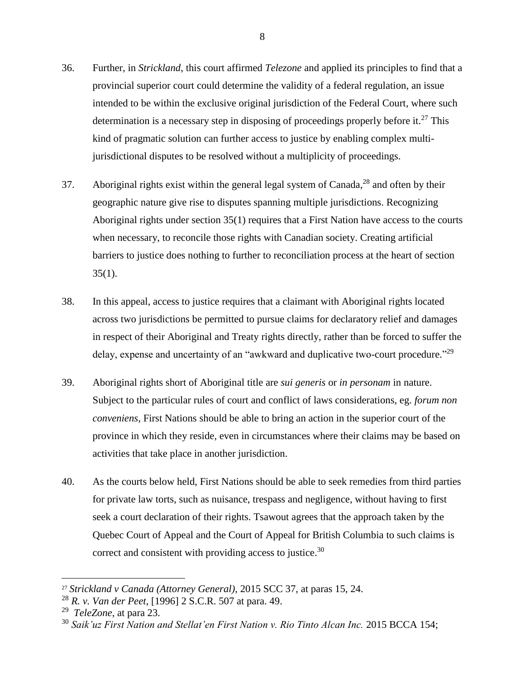- 36. Further, in *Strickland*, this court affirmed *Telezone* and applied its principles to find that a provincial superior court could determine the validity of a federal regulation, an issue intended to be within the exclusive original jurisdiction of the Federal Court, where such determination is a necessary step in disposing of proceedings properly before it.<sup>27</sup> This kind of pragmatic solution can further access to justice by enabling complex multijurisdictional disputes to be resolved without a multiplicity of proceedings.
- 37. Aboriginal rights exist within the general legal system of Canada, $^{28}$  and often by their geographic nature give rise to disputes spanning multiple jurisdictions. Recognizing Aboriginal rights under section 35(1) requires that a First Nation have access to the courts when necessary, to reconcile those rights with Canadian society. Creating artificial barriers to justice does nothing to further to reconciliation process at the heart of section  $35(1)$ .
- 38. In this appeal, access to justice requires that a claimant with Aboriginal rights located across two jurisdictions be permitted to pursue claims for declaratory relief and damages in respect of their Aboriginal and Treaty rights directly, rather than be forced to suffer the delay, expense and uncertainty of an "awkward and duplicative two-court procedure."<sup>29</sup>
- 39. Aboriginal rights short of Aboriginal title are *sui generis* or *in personam* in nature. Subject to the particular rules of court and conflict of laws considerations, eg. *forum non conveniens*, First Nations should be able to bring an action in the superior court of the province in which they reside, even in circumstances where their claims may be based on activities that take place in another jurisdiction.
- 40. As the courts below held, First Nations should be able to seek remedies from third parties for private law torts, such as nuisance, trespass and negligence, without having to first seek a court declaration of their rights. Tsawout agrees that the approach taken by the Quebec Court of Appeal and the Court of Appeal for British Columbia to such claims is correct and consistent with providing access to justice.<sup>30</sup>

 $\overline{a}$ 

8

<sup>27</sup> *Strickland v Canada (Attorney General)*, 2015 SCC 37, at paras 15, 24.

<sup>28</sup> *R. v. Van der Peet*, [1996] 2 S.C.R. 507 at para. 49.

<sup>29</sup> *TeleZone*, at para 23.

<sup>30</sup> *Saik'uz First Nation and Stellat'en First Nation v. Rio Tinto Alcan Inc.* 2015 BCCA 154;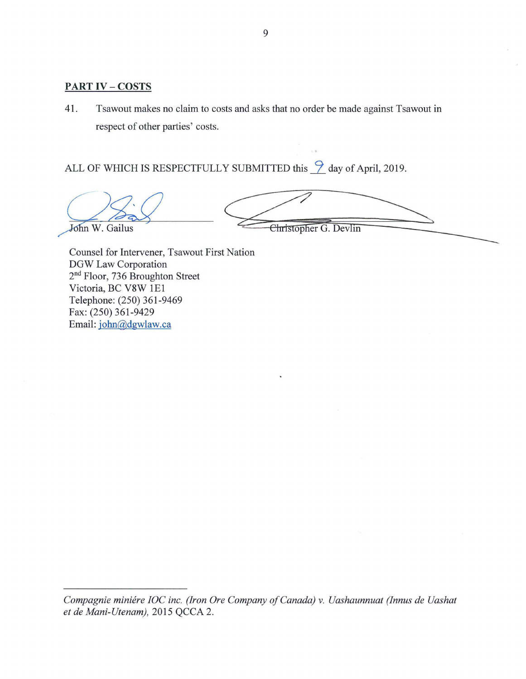#### <span id="page-14-0"></span>**PART** IV- **COSTS**

41. Tsawout makes no claim to costs and asks that no order be made against Tsawout in respect of other parties' costs.

ALL OF WHICH IS RESPECTFULLY SUBMITTED this  $\frac{9}{2}$  day of April, 2019.

John W. Gailus

Christopher G. Devlin

Counsel for Intervener, Tsawout First Nation DGW Law Corporation 2nd Floor, 736 Broughton Street Victoria, BC V8W 1E1 Telephone: (250) 361-9469 Fax: (250) 361-9429 Email[: john@dgwlaw.ca](mailto:john@dgwlaw.ca)

*Compagnie miniere IOC inc. (Iron Ore Company of Canada) v. Uashaunnuat (Innus de Uashat et de Mani-Utenam),* 2015 QCCA 2.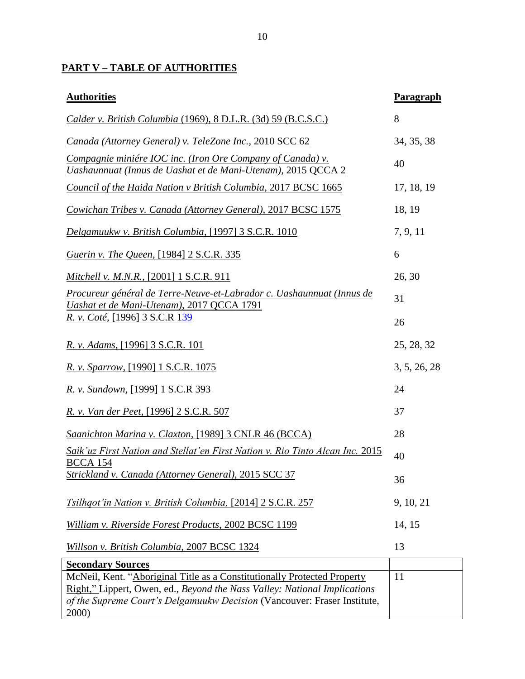# <span id="page-15-0"></span>**PART V – TABLE OF AUTHORITIES**

| <b>Authorities</b>                                                                                                                                                                                                                         | Paragraph    |
|--------------------------------------------------------------------------------------------------------------------------------------------------------------------------------------------------------------------------------------------|--------------|
| Calder v. British Columbia (1969), 8 D.L.R. (3d) 59 (B.C.S.C.)                                                                                                                                                                             | 8            |
| Canada (Attorney General) v. TeleZone Inc., 2010 SCC 62                                                                                                                                                                                    | 34, 35, 38   |
| Compagnie miniére IOC inc. (Iron Ore Company of Canada) v.<br>Uashaunnuat (Innus de Uashat et de Mani-Utenam), 2015 QCCA 2                                                                                                                 | 40           |
| Council of the Haida Nation v British Columbia, 2017 BCSC 1665                                                                                                                                                                             | 17, 18, 19   |
| Cowichan Tribes v. Canada (Attorney General), 2017 BCSC 1575                                                                                                                                                                               | 18, 19       |
| Delgamuukw v. British Columbia, [1997] 3 S.C.R. 1010                                                                                                                                                                                       | 7, 9, 11     |
| <i>Guerin v. The Queen,</i> [1984] 2 S.C.R. 335                                                                                                                                                                                            | 6            |
| Mitchell v. M.N.R., [2001] 1 S.C.R. 911                                                                                                                                                                                                    | 26, 30       |
| Procureur général de Terre-Neuve-et-Labrador c. Uashaunnuat (Innus de<br>Uashat et de Mani-Utenam), 2017 QCCA 1791                                                                                                                         | 31           |
| <u>R. v. Coté, [1996] 3 S.C.R 139</u>                                                                                                                                                                                                      | 26           |
| R. v. Adams, [1996] 3 S.C.R. 101                                                                                                                                                                                                           | 25, 28, 32   |
| R. v. Sparrow, [1990] 1 S.C.R. 1075                                                                                                                                                                                                        | 3, 5, 26, 28 |
| R. v. Sundown, [1999] 1 S.C.R 393                                                                                                                                                                                                          | 24           |
| <i>R. v. Van der Peet,</i> [1996] 2 S.C.R. 507                                                                                                                                                                                             | 37           |
| Saanichton Marina v. Claxton, [1989] 3 CNLR 46 (BCCA)                                                                                                                                                                                      | 28           |
| Saik'uz First Nation and Stellat'en First Nation v. Rio Tinto Alcan Inc. 2015<br><b>BCCA 154</b>                                                                                                                                           | 40           |
| <u><b>Strickland v. Canada (Attorney General), 2015 SCC 37</b></u>                                                                                                                                                                         | 36           |
| <i>Tsilhqot'in Nation v. British Columbia,</i> [2014] 2 S.C.R. 257                                                                                                                                                                         | 9, 10, 21    |
| William v. Riverside Forest Products, 2002 BCSC 1199                                                                                                                                                                                       | 14, 15       |
| Willson v. British Columbia, 2007 BCSC 1324                                                                                                                                                                                                | 13           |
| <b>Secondary Sources</b>                                                                                                                                                                                                                   |              |
| McNeil, Kent. "Aboriginal Title as a Constitutionally Protected Property<br>Right," Lippert, Owen, ed., Beyond the Nass Valley: National Implications<br>of the Supreme Court's Delgamuukw Decision (Vancouver: Fraser Institute,<br>2000) | 11           |